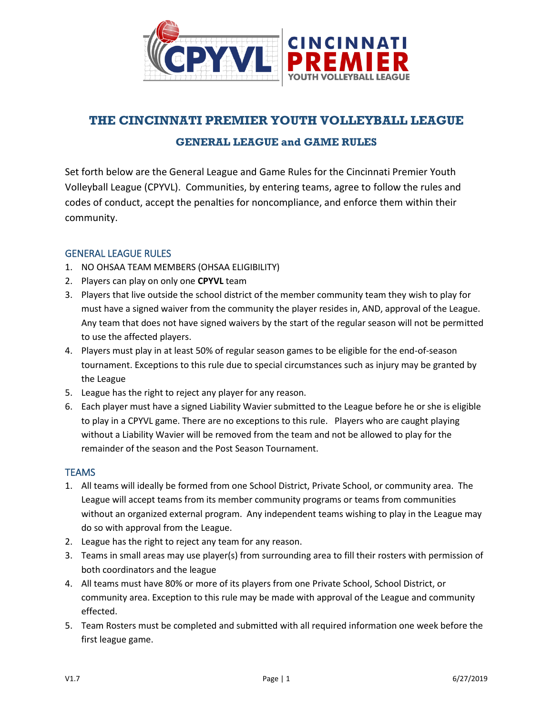

# **THE CINCINNATI PREMIER YOUTH VOLLEYBALL LEAGUE**

## **GENERAL LEAGUE and GAME RULES**

Set forth below are the General League and Game Rules for the Cincinnati Premier Youth Volleyball League (CPYVL). Communities, by entering teams, agree to follow the rules and codes of conduct, accept the penalties for noncompliance, and enforce them within their community.

## GENERAL LEAGUE RULES

- 1. NO OHSAA TEAM MEMBERS (OHSAA ELIGIBILITY)
- 2. Players can play on only one **CPYVL** team
- 3. Players that live outside the school district of the member community team they wish to play for must have a signed waiver from the community the player resides in, AND, approval of the League. Any team that does not have signed waivers by the start of the regular season will not be permitted to use the affected players.
- 4. Players must play in at least 50% of regular season games to be eligible for the end-of-season tournament. Exceptions to this rule due to special circumstances such as injury may be granted by the League
- 5. League has the right to reject any player for any reason.
- 6. Each player must have a signed Liability Wavier submitted to the League before he or she is eligible to play in a CPYVL game. There are no exceptions to this rule. Players who are caught playing without a Liability Wavier will be removed from the team and not be allowed to play for the remainder of the season and the Post Season Tournament.

## **TEAMS**

- 1. All teams will ideally be formed from one School District, Private School, or community area. The League will accept teams from its member community programs or teams from communities without an organized external program. Any independent teams wishing to play in the League may do so with approval from the League.
- 2. League has the right to reject any team for any reason.
- 3. Teams in small areas may use player(s) from surrounding area to fill their rosters with permission of both coordinators and the league
- 4. All teams must have 80% or more of its players from one Private School, School District, or community area. Exception to this rule may be made with approval of the League and community effected.
- 5. Team Rosters must be completed and submitted with all required information one week before the first league game.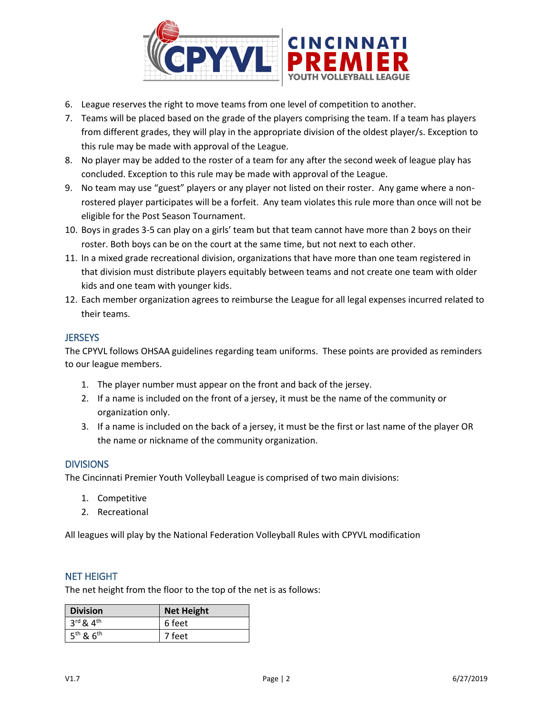

- 6. League reserves the right to move teams from one level of competition to another.
- 7. Teams will be placed based on the grade of the players comprising the team. If a team has players from different grades, they will play in the appropriate division of the oldest player/s. Exception to this rule may be made with approval of the League.
- 8. No player may be added to the roster of a team for any after the second week of league play has concluded. Exception to this rule may be made with approval of the League.
- 9. No team may use "guest" players or any player not listed on their roster. Any game where a nonrostered player participates will be a forfeit. Any team violates this rule more than once will not be eligible for the Post Season Tournament.
- 10. Boys in grades 3-5 can play on a girls' team but that team cannot have more than 2 boys on their roster. Both boys can be on the court at the same time, but not next to each other.
- 11. In a mixed grade recreational division, organizations that have more than one team registered in that division must distribute players equitably between teams and not create one team with older kids and one team with younger kids.
- 12. Each member organization agrees to reimburse the League for all legal expenses incurred related to their teams.

## **JERSEYS**

The CPYVL follows OHSAA guidelines regarding team uniforms. These points are provided as reminders to our league members.

- 1. The player number must appear on the front and back of the jersey.
- 2. If a name is included on the front of a jersey, it must be the name of the community or organization only.
- 3. If a name is included on the back of a jersey, it must be the first or last name of the player OR the name or nickname of the community organization.

## **DIVISIONS**

The Cincinnati Premier Youth Volleyball League is comprised of two main divisions:

- 1. Competitive
- 2. Recreational

All leagues will play by the National Federation Volleyball Rules with CPYVL modification

## NET HEIGHT

The net height from the floor to the top of the net is as follows:

| <b>Division</b>                   | <b>Net Height</b> |
|-----------------------------------|-------------------|
| $3^{\text{rd}}$ & $4^{\text{th}}$ | 6 feet            |
| 5 <sup>th</sup> & 6 <sup>th</sup> | 7 feet            |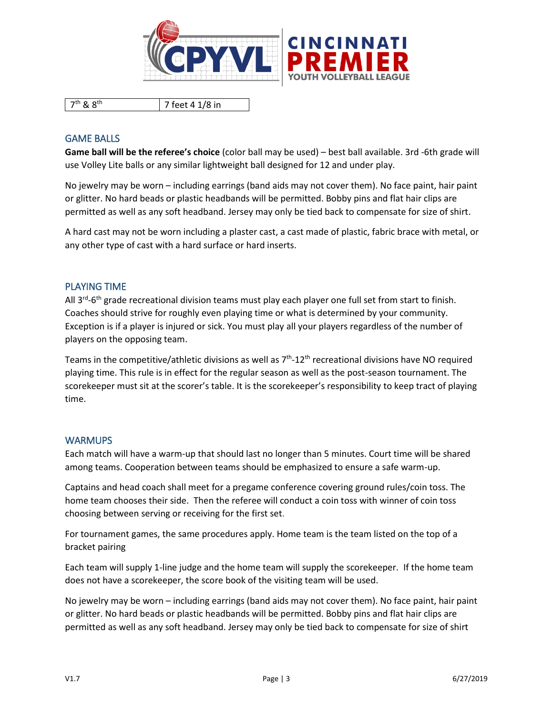

7<sup>th</sup> & 8<sup>th</sup> 7 feet 4 1/8 in

## GAME BALLS

**Game ball will be the referee's choice** (color ball may be used) – best ball available. 3rd -6th grade will use Volley Lite balls or any similar lightweight ball designed for 12 and under play.

No jewelry may be worn – including earrings (band aids may not cover them). No face paint, hair paint or glitter. No hard beads or plastic headbands will be permitted. Bobby pins and flat hair clips are permitted as well as any soft headband. Jersey may only be tied back to compensate for size of shirt.

A hard cast may not be worn including a plaster cast, a cast made of plastic, fabric brace with metal, or any other type of cast with a hard surface or hard inserts.

## PLAYING TIME

All 3<sup>rd</sup>-6<sup>th</sup> grade recreational division teams must play each player one full set from start to finish. Coaches should strive for roughly even playing time or what is determined by your community. Exception is if a player is injured or sick. You must play all your players regardless of the number of players on the opposing team.

Teams in the competitive/athletic divisions as well as  $7<sup>th</sup>$ -12<sup>th</sup> recreational divisions have NO required playing time. This rule is in effect for the regular season as well as the post-season tournament. The scorekeeper must sit at the scorer's table. It is the scorekeeper's responsibility to keep tract of playing time.

## WARMUPS

Each match will have a warm-up that should last no longer than 5 minutes. Court time will be shared among teams. Cooperation between teams should be emphasized to ensure a safe warm-up.

Captains and head coach shall meet for a pregame conference covering ground rules/coin toss. The home team chooses their side. Then the referee will conduct a coin toss with winner of coin toss choosing between serving or receiving for the first set.

For tournament games, the same procedures apply. Home team is the team listed on the top of a bracket pairing

Each team will supply 1-line judge and the home team will supply the scorekeeper. If the home team does not have a scorekeeper, the score book of the visiting team will be used.

No jewelry may be worn – including earrings (band aids may not cover them). No face paint, hair paint or glitter. No hard beads or plastic headbands will be permitted. Bobby pins and flat hair clips are permitted as well as any soft headband. Jersey may only be tied back to compensate for size of shirt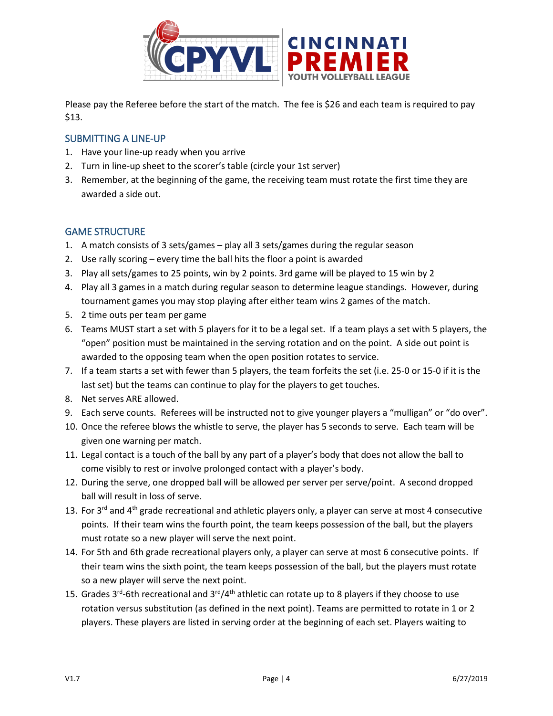

Please pay the Referee before the start of the match. The fee is \$26 and each team is required to pay \$13.

## SUBMITTING A LINE-UP

- 1. Have your line-up ready when you arrive
- 2. Turn in line-up sheet to the scorer's table (circle your 1st server)
- 3. Remember, at the beginning of the game, the receiving team must rotate the first time they are awarded a side out.

## GAME STRUCTURE

- 1. A match consists of 3 sets/games play all 3 sets/games during the regular season
- 2. Use rally scoring every time the ball hits the floor a point is awarded
- 3. Play all sets/games to 25 points, win by 2 points. 3rd game will be played to 15 win by 2
- 4. Play all 3 games in a match during regular season to determine league standings. However, during tournament games you may stop playing after either team wins 2 games of the match.
- 5. 2 time outs per team per game
- 6. Teams MUST start a set with 5 players for it to be a legal set. If a team plays a set with 5 players, the "open" position must be maintained in the serving rotation and on the point. A side out point is awarded to the opposing team when the open position rotates to service.
- 7. If a team starts a set with fewer than 5 players, the team forfeits the set (i.e. 25-0 or 15-0 if it is the last set) but the teams can continue to play for the players to get touches.
- 8. Net serves ARE allowed.
- 9. Each serve counts. Referees will be instructed not to give younger players a "mulligan" or "do over".
- 10. Once the referee blows the whistle to serve, the player has 5 seconds to serve. Each team will be given one warning per match.
- 11. Legal contact is a touch of the ball by any part of a player's body that does not allow the ball to come visibly to rest or involve prolonged contact with a player's body.
- 12. During the serve, one dropped ball will be allowed per server per serve/point. A second dropped ball will result in loss of serve.
- 13. For 3<sup>rd</sup> and 4<sup>th</sup> grade recreational and athletic players only, a player can serve at most 4 consecutive points. If their team wins the fourth point, the team keeps possession of the ball, but the players must rotate so a new player will serve the next point.
- 14. For 5th and 6th grade recreational players only, a player can serve at most 6 consecutive points. If their team wins the sixth point, the team keeps possession of the ball, but the players must rotate so a new player will serve the next point.
- 15. Grades 3<sup>rd</sup>-6th recreational and 3<sup>rd</sup>/4<sup>th</sup> athletic can rotate up to 8 players if they choose to use rotation versus substitution (as defined in the next point). Teams are permitted to rotate in 1 or 2 players. These players are listed in serving order at the beginning of each set. Players waiting to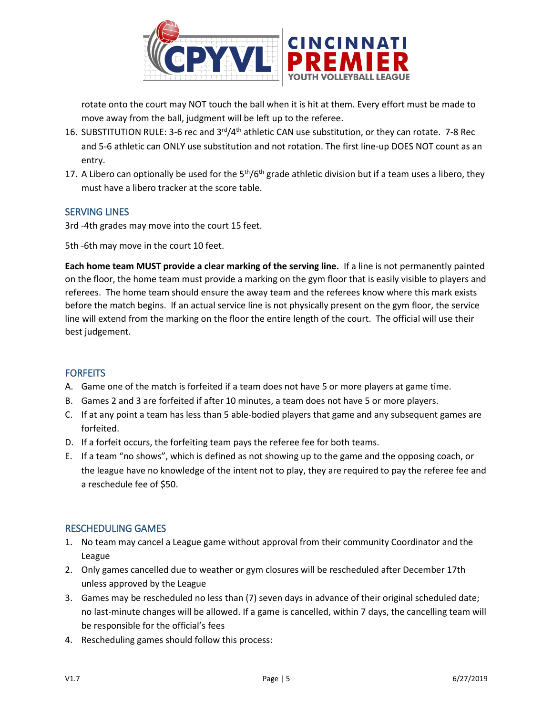

rotate onto the court may NOT touch the ball when it is hit at them. Every effort must be made to move away from the ball, judgment will be left up to the referee.

- 16. SUBSTITUTION RULE: 3-6 rec and 3<sup>rd</sup>/4<sup>th</sup> athletic CAN use substitution, or they can rotate. 7-8 Rec and 5-6 athletic can ONLY use substitution and not rotation. The first line-up DOES NOT count as an entry.
- 17. A Libero can optionally be used for the  $5<sup>th</sup>/6<sup>th</sup>$  grade athletic division but if a team uses a libero, they must have a libero tracker at the score table.

## SERVING LINES

3rd -4th grades may move into the court 15 feet.

5th -6th may move in the court 10 feet.

**Each home team MUST provide a clear marking of the serving line.** If a line is not permanently painted on the floor, the home team must provide a marking on the gym floor that is easily visible to players and referees. The home team should ensure the away team and the referees know where this mark exists before the match begins. If an actual service line is not physically present on the gym floor, the service line will extend from the marking on the floor the entire length of the court. The official will use their best judgement.

## **FORFEITS**

- A. Game one of the match is forfeited if a team does not have 5 or more players at game time.
- B. Games 2 and 3 are forfeited if after 10 minutes, a team does not have 5 or more players.
- C. If at any point a team has less than 5 able-bodied players that game and any subsequent games are forfeited.
- D. If a forfeit occurs, the forfeiting team pays the referee fee for both teams.
- E. If a team "no shows", which is defined as not showing up to the game and the opposing coach, or the league have no knowledge of the intent not to play, they are required to pay the referee fee and a reschedule fee of \$50.

## RESCHEDULING GAMES

- 1. No team may cancel a League game without approval from their community Coordinator and the League
- 2. Only games cancelled due to weather or gym closures will be rescheduled after December 17th unless approved by the League
- 3. Games may be rescheduled no less than (7) seven days in advance of their original scheduled date; no last-minute changes will be allowed. If a game is cancelled, within 7 days, the cancelling team will be responsible for the official's fees
- 4. Rescheduling games should follow this process: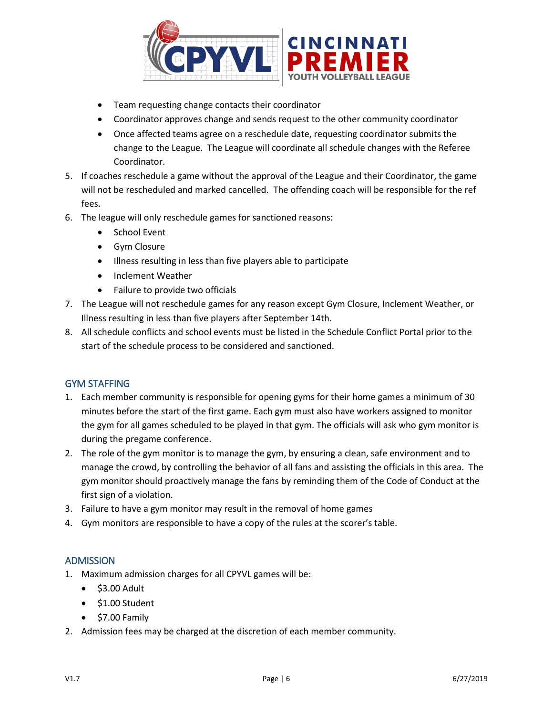

- Team requesting change contacts their coordinator
- Coordinator approves change and sends request to the other community coordinator
- Once affected teams agree on a reschedule date, requesting coordinator submits the change to the League. The League will coordinate all schedule changes with the Referee Coordinator.
- 5. If coaches reschedule a game without the approval of the League and their Coordinator, the game will not be rescheduled and marked cancelled. The offending coach will be responsible for the ref fees.
- 6. The league will only reschedule games for sanctioned reasons:
	- School Event
	- Gym Closure
	- Illness resulting in less than five players able to participate
	- Inclement Weather
	- Failure to provide two officials
- 7. The League will not reschedule games for any reason except Gym Closure, Inclement Weather, or Illness resulting in less than five players after September 14th.
- 8. All schedule conflicts and school events must be listed in the Schedule Conflict Portal prior to the start of the schedule process to be considered and sanctioned.

## GYM STAFFING

- 1. Each member community is responsible for opening gyms for their home games a minimum of 30 minutes before the start of the first game. Each gym must also have workers assigned to monitor the gym for all games scheduled to be played in that gym. The officials will ask who gym monitor is during the pregame conference.
- 2. The role of the gym monitor is to manage the gym, by ensuring a clean, safe environment and to manage the crowd, by controlling the behavior of all fans and assisting the officials in this area. The gym monitor should proactively manage the fans by reminding them of the Code of Conduct at the first sign of a violation.
- 3. Failure to have a gym monitor may result in the removal of home games
- 4. Gym monitors are responsible to have a copy of the rules at the scorer's table.

## ADMISSION

- 1. Maximum admission charges for all CPYVL games will be:
	- \$3.00 Adult
	- \$1.00 Student
	- \$7.00 Family
- 2. Admission fees may be charged at the discretion of each member community.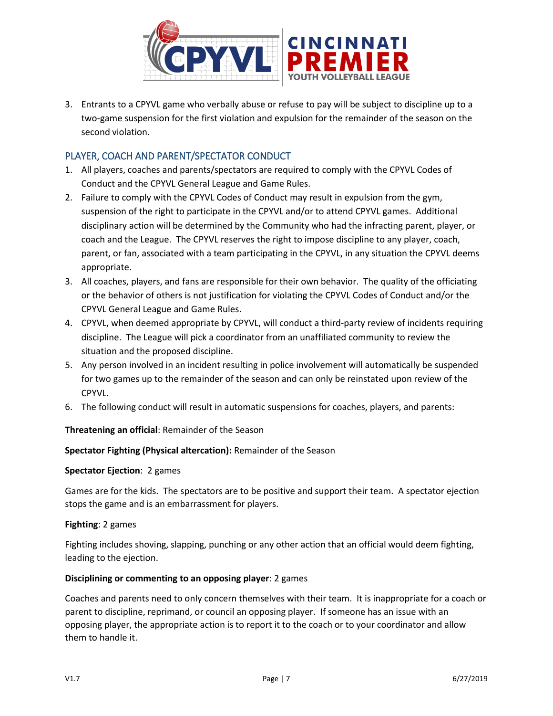

3. Entrants to a CPYVL game who verbally abuse or refuse to pay will be subject to discipline up to a two-game suspension for the first violation and expulsion for the remainder of the season on the second violation.

## PLAYER, COACH AND PARENT/SPECTATOR CONDUCT

- 1. All players, coaches and parents/spectators are required to comply with the CPYVL Codes of Conduct and the CPYVL General League and Game Rules.
- 2. Failure to comply with the CPYVL Codes of Conduct may result in expulsion from the gym, suspension of the right to participate in the CPYVL and/or to attend CPYVL games. Additional disciplinary action will be determined by the Community who had the infracting parent, player, or coach and the League. The CPYVL reserves the right to impose discipline to any player, coach, parent, or fan, associated with a team participating in the CPYVL, in any situation the CPYVL deems appropriate.
- 3. All coaches, players, and fans are responsible for their own behavior. The quality of the officiating or the behavior of others is not justification for violating the CPYVL Codes of Conduct and/or the CPYVL General League and Game Rules.
- 4. CPYVL, when deemed appropriate by CPYVL, will conduct a third-party review of incidents requiring discipline. The League will pick a coordinator from an unaffiliated community to review the situation and the proposed discipline.
- 5. Any person involved in an incident resulting in police involvement will automatically be suspended for two games up to the remainder of the season and can only be reinstated upon review of the CPYVL.
- 6. The following conduct will result in automatic suspensions for coaches, players, and parents:

## **Threatening an official**: Remainder of the Season

## **Spectator Fighting (Physical altercation):** Remainder of the Season

## **Spectator Ejection**: 2 games

Games are for the kids. The spectators are to be positive and support their team. A spectator ejection stops the game and is an embarrassment for players.

## **Fighting**: 2 games

Fighting includes shoving, slapping, punching or any other action that an official would deem fighting, leading to the ejection.

## **Disciplining or commenting to an opposing player**: 2 games

Coaches and parents need to only concern themselves with their team. It is inappropriate for a coach or parent to discipline, reprimand, or council an opposing player. If someone has an issue with an opposing player, the appropriate action is to report it to the coach or to your coordinator and allow them to handle it.